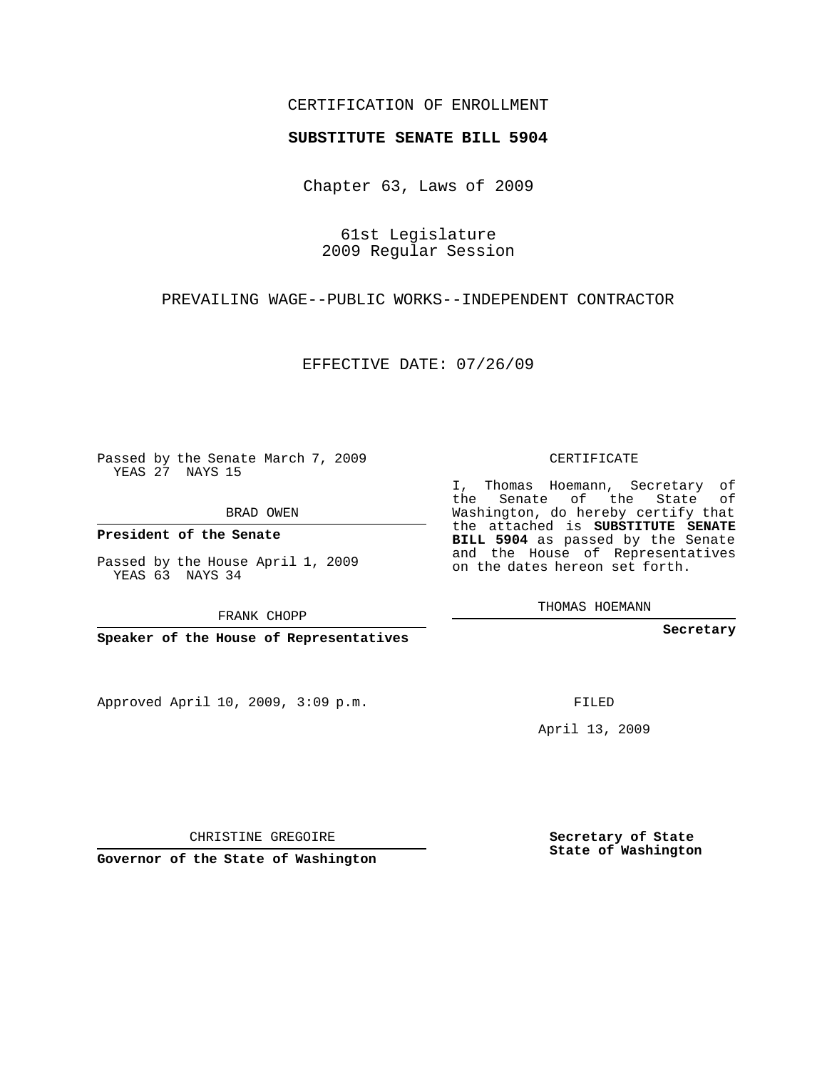## CERTIFICATION OF ENROLLMENT

## **SUBSTITUTE SENATE BILL 5904**

Chapter 63, Laws of 2009

61st Legislature 2009 Regular Session

PREVAILING WAGE--PUBLIC WORKS--INDEPENDENT CONTRACTOR

EFFECTIVE DATE: 07/26/09

Passed by the Senate March 7, 2009 YEAS 27 NAYS 15

BRAD OWEN

**President of the Senate**

Passed by the House April 1, 2009 YEAS 63 NAYS 34

FRANK CHOPP

**Speaker of the House of Representatives**

Approved April 10, 2009, 3:09 p.m.

CERTIFICATE

I, Thomas Hoemann, Secretary of the Senate of the State of Washington, do hereby certify that the attached is **SUBSTITUTE SENATE BILL 5904** as passed by the Senate and the House of Representatives on the dates hereon set forth.

THOMAS HOEMANN

**Secretary**

FILED

April 13, 2009

**Governor of the State of Washington**

CHRISTINE GREGOIRE

**Secretary of State State of Washington**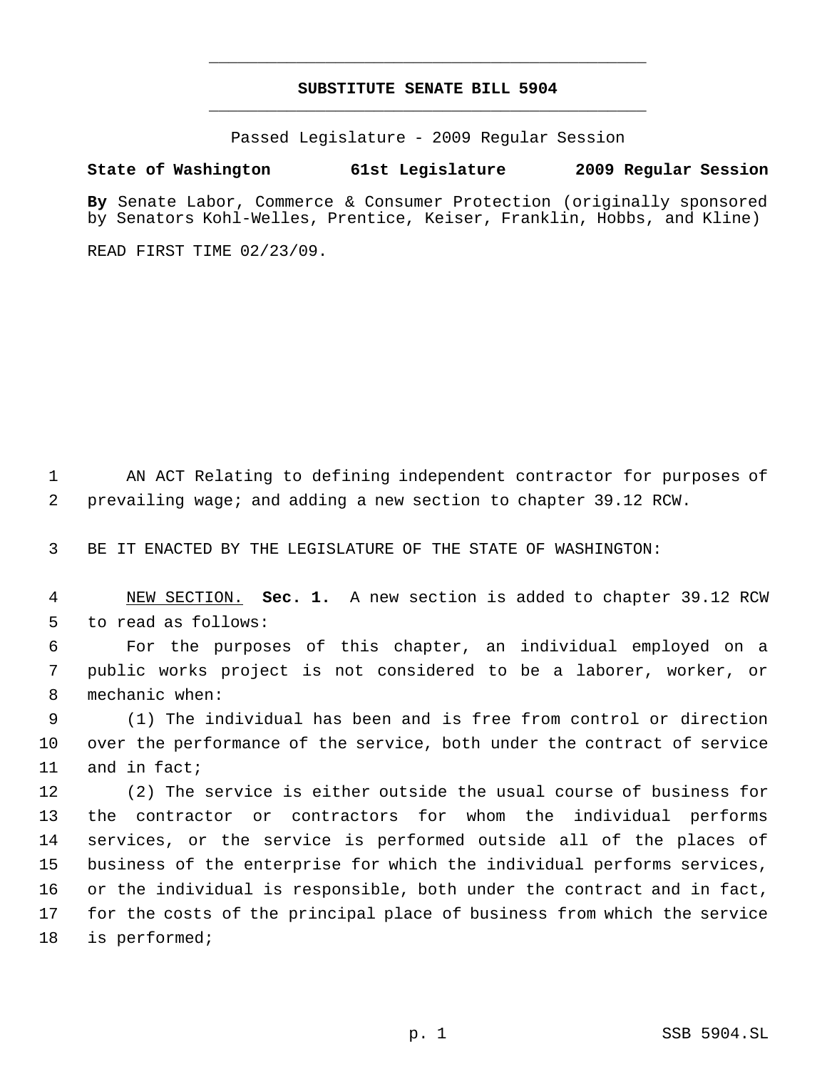## **SUBSTITUTE SENATE BILL 5904** \_\_\_\_\_\_\_\_\_\_\_\_\_\_\_\_\_\_\_\_\_\_\_\_\_\_\_\_\_\_\_\_\_\_\_\_\_\_\_\_\_\_\_\_\_

\_\_\_\_\_\_\_\_\_\_\_\_\_\_\_\_\_\_\_\_\_\_\_\_\_\_\_\_\_\_\_\_\_\_\_\_\_\_\_\_\_\_\_\_\_

Passed Legislature - 2009 Regular Session

## **State of Washington 61st Legislature 2009 Regular Session**

**By** Senate Labor, Commerce & Consumer Protection (originally sponsored by Senators Kohl-Welles, Prentice, Keiser, Franklin, Hobbs, and Kline)

READ FIRST TIME 02/23/09.

 AN ACT Relating to defining independent contractor for purposes of prevailing wage; and adding a new section to chapter 39.12 RCW.

BE IT ENACTED BY THE LEGISLATURE OF THE STATE OF WASHINGTON:

 NEW SECTION. **Sec. 1.** A new section is added to chapter 39.12 RCW to read as follows:

 For the purposes of this chapter, an individual employed on a public works project is not considered to be a laborer, worker, or mechanic when:

 (1) The individual has been and is free from control or direction over the performance of the service, both under the contract of service and in fact;

 (2) The service is either outside the usual course of business for the contractor or contractors for whom the individual performs services, or the service is performed outside all of the places of business of the enterprise for which the individual performs services, or the individual is responsible, both under the contract and in fact, for the costs of the principal place of business from which the service is performed;